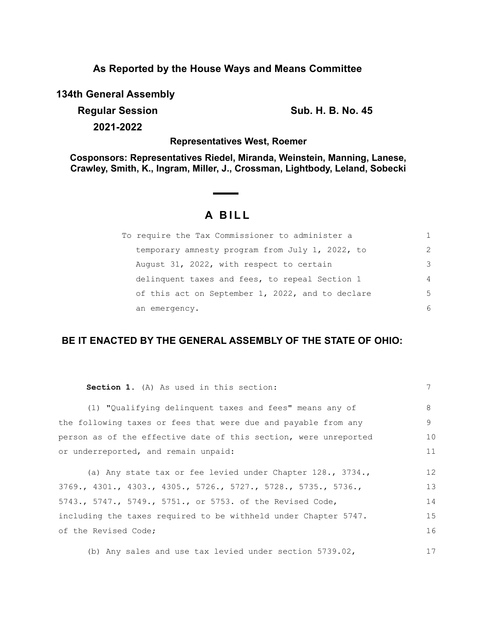## **As Reported by the House Ways and Means Committee**

**134th General Assembly**

**Regular Session Sub. H. B. No. 45** 

**2021-2022**

#### **Representatives West, Roemer**

**Cosponsors: Representatives Riedel, Miranda, Weinstein, Manning, Lanese, Crawley, Smith, K., Ingram, Miller, J., Crossman, Lightbody, Leland, Sobecki**

# **A B I L L**

| To require the Tax Commissioner to administer a  |               |
|--------------------------------------------------|---------------|
| temporary amnesty program from July 1, 2022, to  | $\mathcal{P}$ |
| August 31, 2022, with respect to certain         | 3             |
| delinquent taxes and fees, to repeal Section 1   | 4             |
| of this act on September 1, 2022, and to declare | 5.            |
| an emergency.                                    | 6             |

### **BE IT ENACTED BY THE GENERAL ASSEMBLY OF THE STATE OF OHIO:**

| Section 1. (A) As used in this section:                          | 7  |
|------------------------------------------------------------------|----|
| (1) "Qualifying delinquent taxes and fees" means any of          | 8  |
| the following taxes or fees that were due and payable from any   | 9  |
| person as of the effective date of this section, were unreported | 10 |
| or underreported, and remain unpaid:                             | 11 |
| (a) Any state tax or fee levied under Chapter $128.$ , $3734.$ , | 12 |
| 3769., 4301., 4303., 4305., 5726., 5727., 5728., 5735., 5736.,   | 13 |
| 5743., 5747., 5749., 5751., or 5753. of the Revised Code,        | 14 |
| including the taxes required to be withheld under Chapter 5747.  | 15 |
| of the Revised Code;                                             | 16 |
| (b) Any sales and use tax levied under section $5739.02$ ,       | 17 |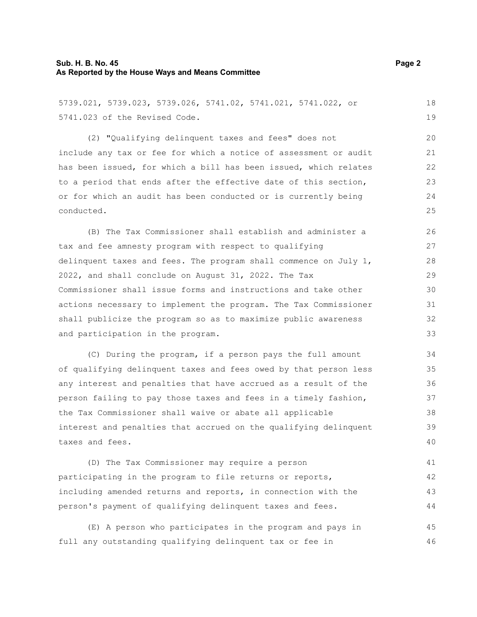| 5739.021, 5739.023, 5739.026, 5741.02, 5741.021, 5741.022, or    |
|------------------------------------------------------------------|
| 5741,023 of the Revised Code.                                    |
| (2) "Qualifying delinguent taxes and fees" does not              |
| include any tax or fee for which a notice of assessment or audit |
| has been issued, for which a bill has been issued, which relates |
| to a period that ends after the effective date of this section,  |
| or for which an audit has been conducted or is currently being   |
| conducted.                                                       |

(B) The Tax Commissioner shall establish and administer a tax and fee amnesty program with respect to qualifying delinquent taxes and fees. The program shall commence on July 1, 2022, and shall conclude on August 31, 2022. The Tax Commissioner shall issue forms and instructions and take other actions necessary to implement the program. The Tax Commissioner shall publicize the program so as to maximize public awareness and participation in the program. 26 28 30 32

(C) During the program, if a person pays the full amount of qualifying delinquent taxes and fees owed by that person less any interest and penalties that have accrued as a result of the person failing to pay those taxes and fees in a timely fashion, the Tax Commissioner shall waive or abate all applicable interest and penalties that accrued on the qualifying delinquent taxes and fees.

(D) The Tax Commissioner may require a person participating in the program to file returns or reports, including amended returns and reports, in connection with the person's payment of qualifying delinquent taxes and fees. 41 42 43 44

(E) A person who participates in the program and pays in full any outstanding qualifying delinquent tax or fee in 45 46

18 19

27

29

31

33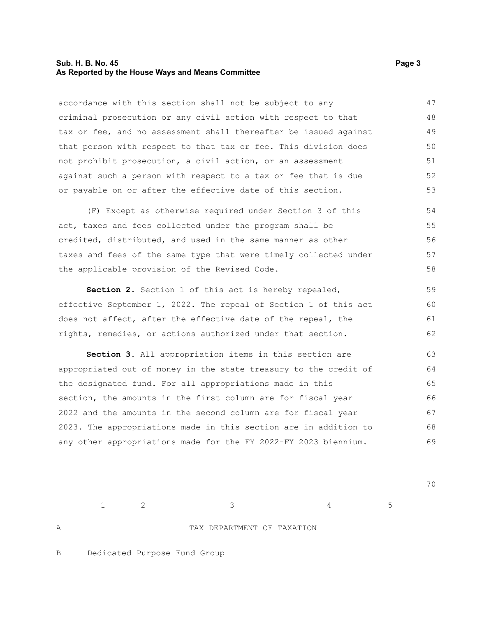#### **Sub. H. B. No. 45** Page 3 **As Reported by the House Ways and Means Committee**

accordance with this section shall not be subject to any criminal prosecution or any civil action with respect to that tax or fee, and no assessment shall thereafter be issued against that person with respect to that tax or fee. This division does not prohibit prosecution, a civil action, or an assessment against such a person with respect to a tax or fee that is due or payable on or after the effective date of this section. 47 48 49 50 51 52 53

(F) Except as otherwise required under Section 3 of this act, taxes and fees collected under the program shall be credited, distributed, and used in the same manner as other taxes and fees of the same type that were timely collected under the applicable provision of the Revised Code. 54 55 56 57 58

**Section 2.** Section 1 of this act is hereby repealed, effective September 1, 2022. The repeal of Section 1 of this act does not affect, after the effective date of the repeal, the rights, remedies, or actions authorized under that section. 59 60 61 62

**Section 3.** All appropriation items in this section are appropriated out of money in the state treasury to the credit of the designated fund. For all appropriations made in this section, the amounts in the first column are for fiscal year 2022 and the amounts in the second column are for fiscal year 2023. The appropriations made in this section are in addition to any other appropriations made for the FY 2022-FY 2023 biennium. 63 64 65 66 67 68 69

70

A TAX DEPARTMENT OF TAXATION

 $1$  2 3 4 5

B Dedicated Purpose Fund Group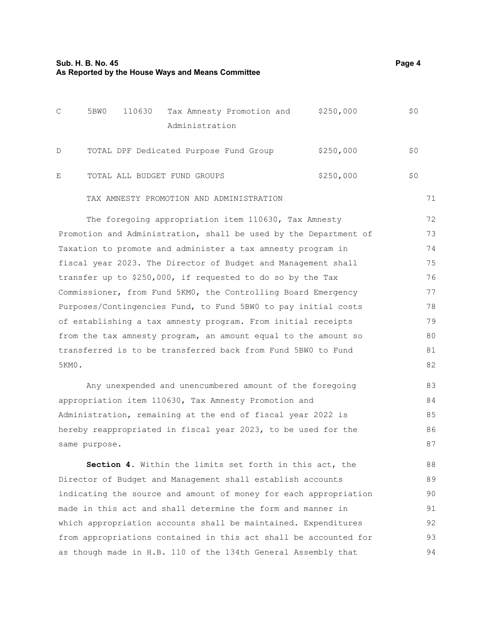|--|--|

| C | 5BW0 | 110630 |                                        | Tax Amnesty Promotion and                | \$250,000 | \$0 |
|---|------|--------|----------------------------------------|------------------------------------------|-----------|-----|
|   |      |        | Administration                         |                                          |           |     |
| D |      |        | TOTAL DPF Dedicated Purpose Fund Group |                                          | \$250,000 | \$0 |
| Ε |      |        | TOTAL ALL BUDGET FUND GROUPS           |                                          | \$250,000 | \$0 |
|   |      |        |                                        | TAX AMNESTY PROMOTION AND ADMINISTRATION |           |     |

The foregoing appropriation item 110630, Tax Amnesty Promotion and Administration, shall be used by the Department of Taxation to promote and administer a tax amnesty program in fiscal year 2023. The Director of Budget and Management shall transfer up to \$250,000, if requested to do so by the Tax Commissioner, from Fund 5KM0, the Controlling Board Emergency Purposes/Contingencies Fund, to Fund 5BW0 to pay initial costs of establishing a tax amnesty program. From initial receipts from the tax amnesty program, an amount equal to the amount so transferred is to be transferred back from Fund 5BW0 to Fund 5KM0. 72 73 74 75 76 77 78 79 80 81 82

Any unexpended and unencumbered amount of the foregoing appropriation item 110630, Tax Amnesty Promotion and Administration, remaining at the end of fiscal year 2022 is hereby reappropriated in fiscal year 2023, to be used for the same purpose. 83 84 85 86 87

**Section 4.** Within the limits set forth in this act, the Director of Budget and Management shall establish accounts indicating the source and amount of money for each appropriation made in this act and shall determine the form and manner in which appropriation accounts shall be maintained. Expenditures from appropriations contained in this act shall be accounted for as though made in H.B. 110 of the 134th General Assembly that 88 89 90 91 92 93 94